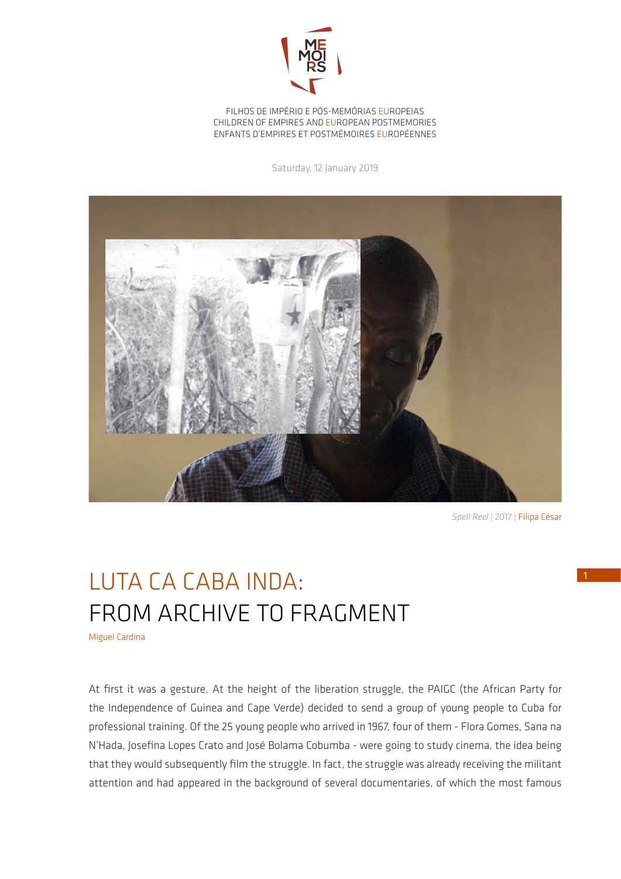

FILHOS DE IMPÉRIO E PÓS-MEMÓRIAS EUROPEIAS CHILDREN OF EMPIRES AND EUROPEAN POSTMEMORIES ENFANTS D'EMPIRES ET POSTMÉMOIRES EUROPÉENNES

Saturday, 12 January 2019



*Spell Reel* | 2017 | Filipa César

## LUTA CA CABA INDA: FROM ARCHIVE TO FRAGMENT

Miguel Cardina

At first it was a gesture. At the height of the liberation struggle, the PAIGC (the African Party for the Independence of Guinea and Cape Verde) decided to send a group of young people to Cuba for professional training. Of the 25 young people who arrived in 1967, four of them - Flora Gomes, Sana na N'Hada, Josefina Lopes Crato and José Bolama Cobumba - were going to study cinema, the idea being that they would subsequently film the struggle. In fact, the struggle was already receiving the militant attention and had appeared in the background of several documentaries, of which the most famous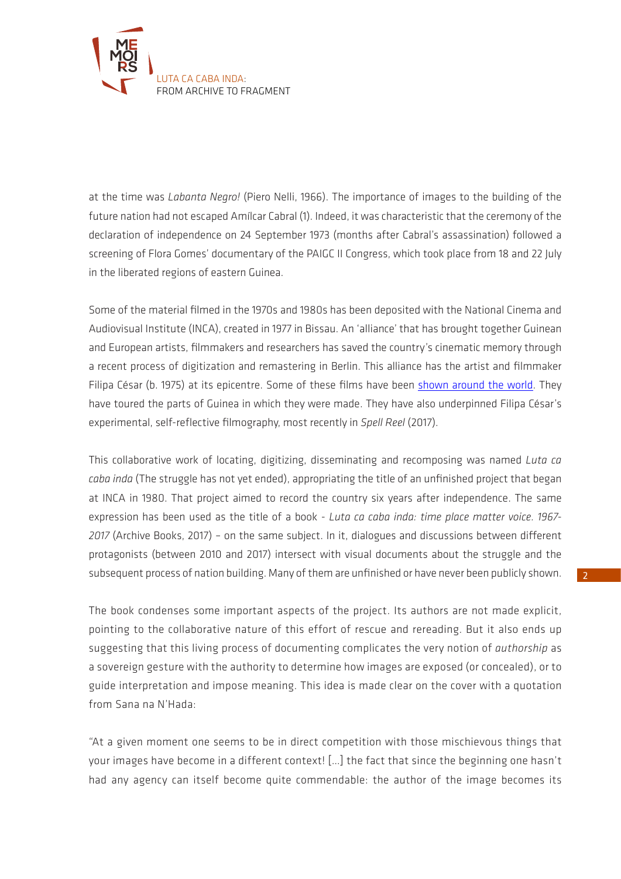

at the time was *Labanta Negro!* (Piero Nelli, 1966). The importance of images to the building of the future nation had not escaped Amílcar Cabral (1). Indeed, it was characteristic that the ceremony of the declaration of independence on 24 September 1973 (months after Cabral's assassination) followed a screening of Flora Gomes' documentary of the PAIGC II Congress, which took place from 18 and 22 July in the liberated regions of eastern Guinea.

Some of the material filmed in the 1970s and 1980s has been deposited with the National Cinema and Audiovisual Institute (INCA), created in 1977 in Bissau. An 'alliance' that has brought together Guinean and European artists, filmmakers and researchers has saved the country's cinematic memory through a recent process of digitization and remastering in Berlin. This alliance has the artist and filmmaker Filipa César (b. 1975) at its epicentre. Some of these films have been [shown around the world](http://site.videobrasil.org.br/canalvb/video/2211000/LUTA_CA_CABA_INDA_Filipa_Cesar_e_Sana_N_Hada_20o_Festival). They have toured the parts of Guinea in which they were made. They have also underpinned Filipa César's experimental, self-reflective filmography, most recently in *Spell Reel* (2017).

This collaborative work of locating, digitizing, disseminating and recomposing was named *Luta ca caba inda* (The struggle has not yet ended), appropriating the title of an unfinished project that began at INCA in 1980. That project aimed to record the country six years after independence. The same expression has been used as the title of a book - *Luta ca caba inda: time place matter voice. 1967- 2017* (Archive Books, 2017) – on the same subject. In it, dialogues and discussions between different protagonists (between 2010 and 2017) intersect with visual documents about the struggle and the subsequent process of nation building. Many of them are unfinished or have never been publicly shown.

The book condenses some important aspects of the project. Its authors are not made explicit, pointing to the collaborative nature of this effort of rescue and rereading. But it also ends up suggesting that this living process of documenting complicates the very notion of *authorship* as a sovereign gesture with the authority to determine how images are exposed (or concealed), or to guide interpretation and impose meaning. This idea is made clear on the cover with a quotation from Sana na N'Hada:

"At a given moment one seems to be in direct competition with those mischievous things that your images have become in a different context! […] the fact that since the beginning one hasn't had any agency can itself become quite commendable: the author of the image becomes its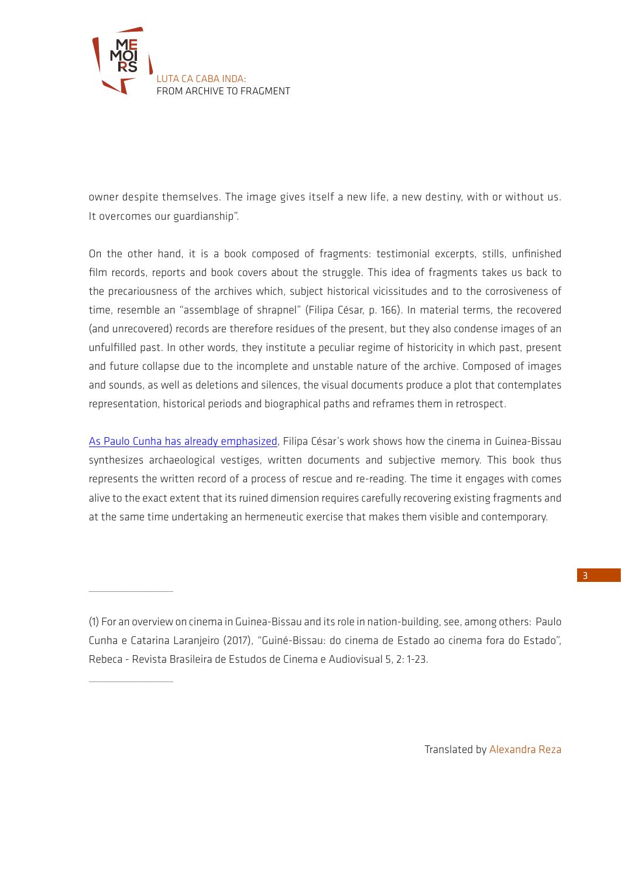

 $\overline{\phantom{a}}$  , where  $\overline{\phantom{a}}$ 

 $\overline{\phantom{a}}$  , where  $\overline{\phantom{a}}$ 

owner despite themselves. The image gives itself a new life, a new destiny, with or without us. It overcomes our guardianship".

On the other hand, it is a book composed of fragments: testimonial excerpts, stills, unfinished film records, reports and book covers about the struggle. This idea of fragments takes us back to the precariousness of the archives which, subject historical vicissitudes and to the corrosiveness of time, resemble an "assemblage of shrapnel" (Filipa César, p. 166). In material terms, the recovered (and unrecovered) records are therefore residues of the present, but they also condense images of an unfulfilled past. In other words, they institute a peculiar regime of historicity in which past, present and future collapse due to the incomplete and unstable nature of the archive. Composed of images and sounds, as well as deletions and silences, the visual documents produce a plot that contemplates representation, historical periods and biographical paths and reframes them in retrospect.

[As Paulo Cunha has already emphasized,](https://portalseer.ufba.br/index.php/estudos/article/download/15857/11779) Filipa César's work shows how the cinema in Guinea-Bissau synthesizes archaeological vestiges, written documents and subjective memory. This book thus represents the written record of a process of rescue and re-reading. The time it engages with comes alive to the exact extent that its ruined dimension requires carefully recovering existing fragments and at the same time undertaking an hermeneutic exercise that makes them visible and contemporary.

Translated by Alexandra Reza

<sup>(1)</sup> For an overview on cinema in Guinea-Bissau and its role in nation-building, see, among others: Paulo Cunha e Catarina Laranjeiro (2017), "Guiné-Bissau: do cinema de Estado ao cinema fora do Estado", Rebeca - Revista Brasileira de Estudos de Cinema e Audiovisual 5, 2: 1-23.